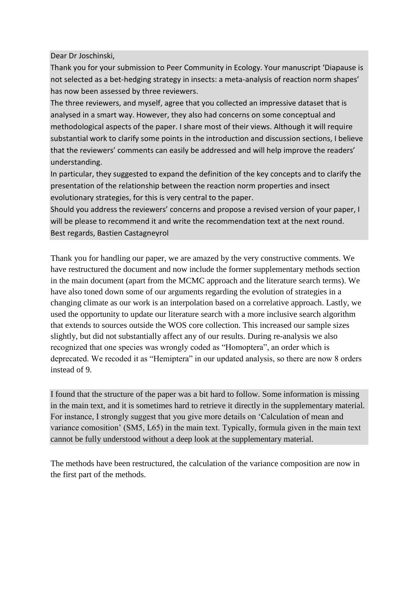#### Dear Dr Joschinski,

Thank you for your submission to Peer Community in Ecology. Your manuscript 'Diapause is not selected as a bet-hedging strategy in insects: a meta-analysis of reaction norm shapes' has now been assessed by three reviewers.

The three reviewers, and myself, agree that you collected an impressive dataset that is analysed in a smart way. However, they also had concerns on some conceptual and methodological aspects of the paper. I share most of their views. Although it will require substantial work to clarify some points in the introduction and discussion sections, I believe that the reviewers' comments can easily be addressed and will help improve the readers' understanding.

In particular, they suggested to expand the definition of the key concepts and to clarify the presentation of the relationship between the reaction norm properties and insect evolutionary strategies, for this is very central to the paper.

Should you address the reviewers' concerns and propose a revised version of your paper, I will be please to recommend it and write the recommendation text at the next round. Best regards, Bastien Castagneyrol

Thank you for handling our paper, we are amazed by the very constructive comments. We have restructured the document and now include the former supplementary methods section in the main document (apart from the MCMC approach and the literature search terms). We have also toned down some of our arguments regarding the evolution of strategies in a changing climate as our work is an interpolation based on a correlative approach. Lastly, we used the opportunity to update our literature search with a more inclusive search algorithm that extends to sources outside the WOS core collection. This increased our sample sizes slightly, but did not substantially affect any of our results. During re-analysis we also recognized that one species was wrongly coded as "Homoptera", an order which is deprecated. We recoded it as "Hemiptera" in our updated analysis, so there are now 8 orders instead of 9.

I found that the structure of the paper was a bit hard to follow. Some information is missing in the main text, and it is sometimes hard to retrieve it directly in the supplementary material. For instance, I strongly suggest that you give more details on 'Calculation of mean and variance comosition' (SM5, L65) in the main text. Typically, formula given in the main text cannot be fully understood without a deep look at the supplementary material.

The methods have been restructured, the calculation of the variance composition are now in the first part of the methods.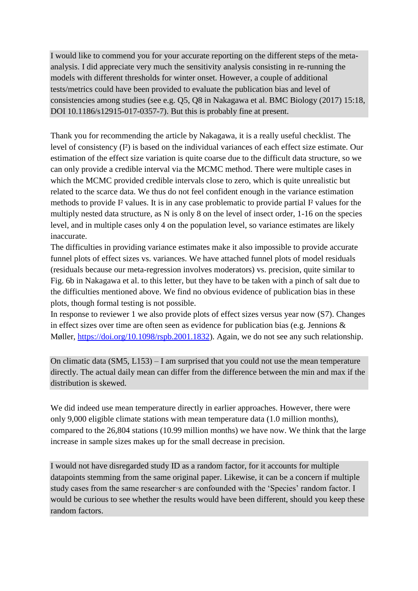I would like to commend you for your accurate reporting on the different steps of the metaanalysis. I did appreciate very much the sensitivity analysis consisting in re-running the models with different thresholds for winter onset. However, a couple of additional tests/metrics could have been provided to evaluate the publication bias and level of consistencies among studies (see e.g. Q5, Q8 in Nakagawa et al. BMC Biology (2017) 15:18, DOI 10.1186/s12915-017-0357-7). But this is probably fine at present.

Thank you for recommending the article by Nakagawa, it is a really useful checklist. The level of consistency (I²) is based on the individual variances of each effect size estimate. Our estimation of the effect size variation is quite coarse due to the difficult data structure, so we can only provide a credible interval via the MCMC method. There were multiple cases in which the MCMC provided credible intervals close to zero, which is quite unrealistic but related to the scarce data. We thus do not feel confident enough in the variance estimation methods to provide I² values. It is in any case problematic to provide partial I² values for the multiply nested data structure, as N is only 8 on the level of insect order, 1-16 on the species level, and in multiple cases only 4 on the population level, so variance estimates are likely inaccurate.

The difficulties in providing variance estimates make it also impossible to provide accurate funnel plots of effect sizes vs. variances. We have attached funnel plots of model residuals (residuals because our meta-regression involves moderators) vs. precision, quite similar to Fig. 6b in Nakagawa et al. to this letter, but they have to be taken with a pinch of salt due to the difficulties mentioned above. We find no obvious evidence of publication bias in these plots, though formal testing is not possible.

In response to reviewer 1 we also provide plots of effect sizes versus year now (S7). Changes in effect sizes over time are often seen as evidence for publication bias (e.g. Jennions & Møller, [https://doi.org/10.1098/rspb.2001.1832\)](https://doi.org/10.1098/rspb.2001.1832). Again, we do not see any such relationship.

On climatic data (SM5, L153) – I am surprised that you could not use the mean temperature directly. The actual daily mean can differ from the difference between the min and max if the distribution is skewed.

We did indeed use mean temperature directly in earlier approaches. However, there were only 9,000 eligible climate stations with mean temperature data (1.0 million months), compared to the 26,804 stations (10.99 million months) we have now. We think that the large increase in sample sizes makes up for the small decrease in precision.

I would not have disregarded study ID as a random factor, for it accounts for multiple datapoints stemming from the same original paper. Likewise, it can be a concern if multiple study cases from the same researcher·s are confounded with the 'Species' random factor. I would be curious to see whether the results would have been different, should you keep these random factors.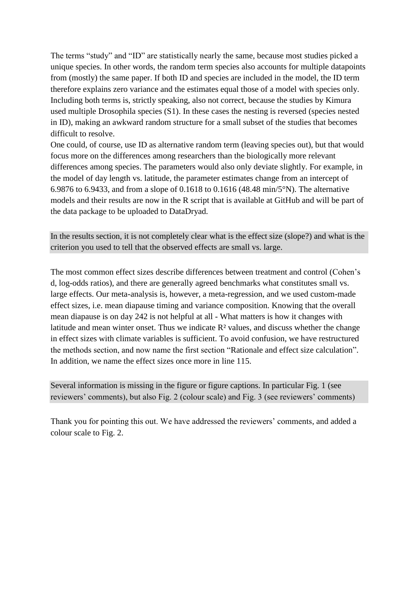The terms "study" and "ID" are statistically nearly the same, because most studies picked a unique species. In other words, the random term species also accounts for multiple datapoints from (mostly) the same paper. If both ID and species are included in the model, the ID term therefore explains zero variance and the estimates equal those of a model with species only. Including both terms is, strictly speaking, also not correct, because the studies by Kimura used multiple Drosophila species (S1). In these cases the nesting is reversed (species nested in ID), making an awkward random structure for a small subset of the studies that becomes difficult to resolve.

One could, of course, use ID as alternative random term (leaving species out), but that would focus more on the differences among researchers than the biologically more relevant differences among species. The parameters would also only deviate slightly. For example, in the model of day length vs. latitude, the parameter estimates change from an intercept of 6.9876 to 6.9433, and from a slope of 0.1618 to 0.1616 (48.48 min/5°N). The alternative models and their results are now in the R script that is available at GitHub and will be part of the data package to be uploaded to DataDryad.

In the results section, it is not completely clear what is the effect size (slope?) and what is the criterion you used to tell that the observed effects are small vs. large.

The most common effect sizes describe differences between treatment and control (Cohen's d, log-odds ratios), and there are generally agreed benchmarks what constitutes small vs. large effects. Our meta-analysis is, however, a meta-regression, and we used custom-made effect sizes, i.e. mean diapause timing and variance composition. Knowing that the overall mean diapause is on day 242 is not helpful at all - What matters is how it changes with latitude and mean winter onset. Thus we indicate  $\mathbb{R}^2$  values, and discuss whether the change in effect sizes with climate variables is sufficient. To avoid confusion, we have restructured the methods section, and now name the first section "Rationale and effect size calculation". In addition, we name the effect sizes once more in line 115.

Several information is missing in the figure or figure captions. In particular Fig. 1 (see reviewers' comments), but also Fig. 2 (colour scale) and Fig. 3 (see reviewers' comments)

Thank you for pointing this out. We have addressed the reviewers' comments, and added a colour scale to Fig. 2.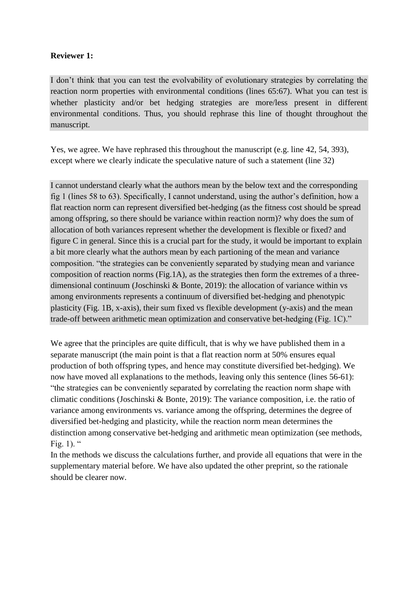# **Reviewer 1:**

I don't think that you can test the evolvability of evolutionary strategies by correlating the reaction norm properties with environmental conditions (lines 65:67). What you can test is whether plasticity and/or bet hedging strategies are more/less present in different environmental conditions. Thus, you should rephrase this line of thought throughout the manuscript.

Yes, we agree. We have rephrased this throughout the manuscript (e.g. line 42, 54, 393), except where we clearly indicate the speculative nature of such a statement (line 32)

I cannot understand clearly what the authors mean by the below text and the corresponding fig 1 (lines 58 to 63). Specifically, I cannot understand, using the author's definition, how a flat reaction norm can represent diversified bet-hedging (as the fitness cost should be spread among offspring, so there should be variance within reaction norm)? why does the sum of allocation of both variances represent whether the development is flexible or fixed? and figure C in general. Since this is a crucial part for the study, it would be important to explain a bit more clearly what the authors mean by each partioning of the mean and variance composition. "the strategies can be conveniently separated by studying mean and variance composition of reaction norms (Fig.1A), as the strategies then form the extremes of a threedimensional continuum (Joschinski & Bonte, 2019): the allocation of variance within vs among environments represents a continuum of diversified bet-hedging and phenotypic plasticity (Fig. 1B, x-axis), their sum fixed vs flexible development (y-axis) and the mean trade-off between arithmetic mean optimization and conservative bet-hedging (Fig. 1C)."

We agree that the principles are quite difficult, that is why we have published them in a separate manuscript (the main point is that a flat reaction norm at 50% ensures equal production of both offspring types, and hence may constitute diversified bet-hedging). We now have moved all explanations to the methods, leaving only this sentence (lines 56-61): "the strategies can be conveniently separated by correlating the reaction norm shape with climatic conditions (Joschinski & Bonte, 2019): The variance composition, i.e. the ratio of variance among environments vs. variance among the offspring, determines the degree of diversified bet-hedging and plasticity, while the reaction norm mean determines the distinction among conservative bet-hedging and arithmetic mean optimization (see methods, Fig. 1). "

In the methods we discuss the calculations further, and provide all equations that were in the supplementary material before. We have also updated the other preprint, so the rationale should be clearer now.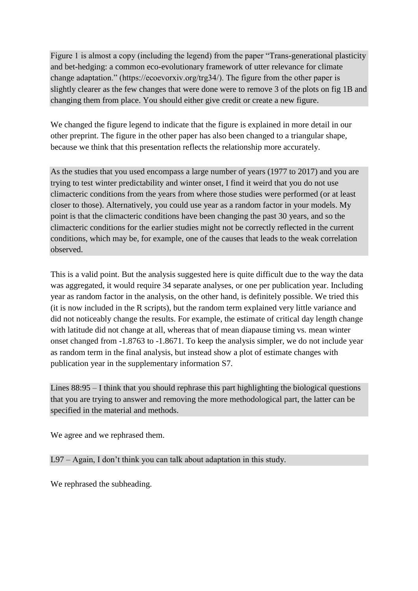Figure 1 is almost a copy (including the legend) from the paper "Trans-generational plasticity and bet-hedging: a common eco-evolutionary framework of utter relevance for climate change adaptation." (https://ecoevorxiv.org/trg34/). The figure from the other paper is slightly clearer as the few changes that were done were to remove 3 of the plots on fig 1B and changing them from place. You should either give credit or create a new figure.

We changed the figure legend to indicate that the figure is explained in more detail in our other preprint. The figure in the other paper has also been changed to a triangular shape, because we think that this presentation reflects the relationship more accurately.

As the studies that you used encompass a large number of years (1977 to 2017) and you are trying to test winter predictability and winter onset, I find it weird that you do not use climacteric conditions from the years from where those studies were performed (or at least closer to those). Alternatively, you could use year as a random factor in your models. My point is that the climacteric conditions have been changing the past 30 years, and so the climacteric conditions for the earlier studies might not be correctly reflected in the current conditions, which may be, for example, one of the causes that leads to the weak correlation observed.

This is a valid point. But the analysis suggested here is quite difficult due to the way the data was aggregated, it would require 34 separate analyses, or one per publication year. Including year as random factor in the analysis, on the other hand, is definitely possible. We tried this (it is now included in the R scripts), but the random term explained very little variance and did not noticeably change the results. For example, the estimate of critical day length change with latitude did not change at all, whereas that of mean diapause timing vs. mean winter onset changed from -1.8763 to -1.8671. To keep the analysis simpler, we do not include year as random term in the final analysis, but instead show a plot of estimate changes with publication year in the supplementary information S7.

Lines 88:95 – I think that you should rephrase this part highlighting the biological questions that you are trying to answer and removing the more methodological part, the latter can be specified in the material and methods.

We agree and we rephrased them.

L97 – Again, I don't think you can talk about adaptation in this study.

We rephrased the subheading.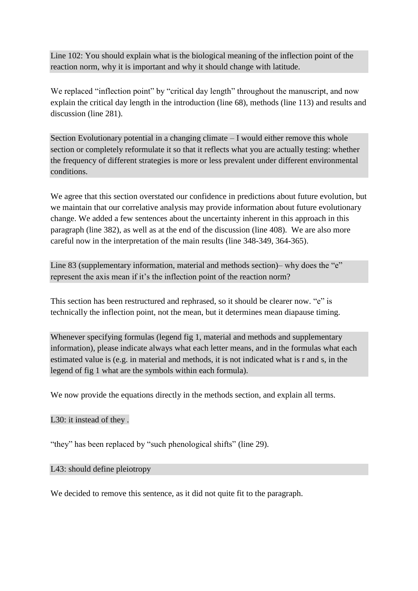Line 102: You should explain what is the biological meaning of the inflection point of the reaction norm, why it is important and why it should change with latitude.

We replaced "inflection point" by "critical day length" throughout the manuscript, and now explain the critical day length in the introduction (line 68), methods (line 113) and results and discussion (line 281).

Section Evolutionary potential in a changing climate  $-I$  would either remove this whole section or completely reformulate it so that it reflects what you are actually testing: whether the frequency of different strategies is more or less prevalent under different environmental conditions.

We agree that this section overstated our confidence in predictions about future evolution, but we maintain that our correlative analysis may provide information about future evolutionary change. We added a few sentences about the uncertainty inherent in this approach in this paragraph (line 382), as well as at the end of the discussion (line 408). We are also more careful now in the interpretation of the main results (line 348-349, 364-365).

Line 83 (supplementary information, material and methods section)– why does the "e" represent the axis mean if it's the inflection point of the reaction norm?

This section has been restructured and rephrased, so it should be clearer now. "e" is technically the inflection point, not the mean, but it determines mean diapause timing.

Whenever specifying formulas (legend fig 1, material and methods and supplementary information), please indicate always what each letter means, and in the formulas what each estimated value is (e.g. in material and methods, it is not indicated what is r and s, in the legend of fig 1 what are the symbols within each formula).

We now provide the equations directly in the methods section, and explain all terms.

## L30: it instead of they .

"they" has been replaced by "such phenological shifts" (line 29).

#### L43: should define pleiotropy

We decided to remove this sentence, as it did not quite fit to the paragraph.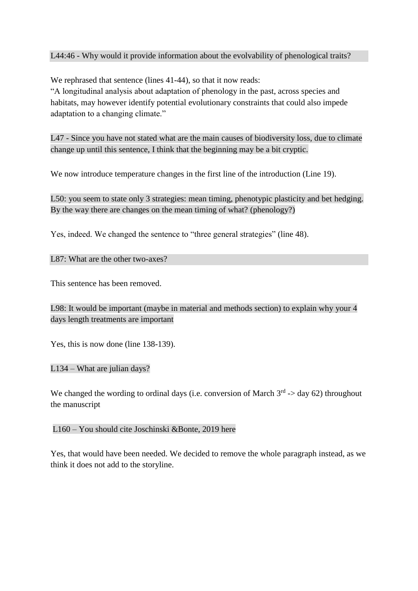#### L44:46 - Why would it provide information about the evolvability of phenological traits?

We rephrased that sentence (lines 41-44), so that it now reads:

"A longitudinal analysis about adaptation of phenology in the past, across species and habitats, may however identify potential evolutionary constraints that could also impede adaptation to a changing climate."

L47 - Since you have not stated what are the main causes of biodiversity loss, due to climate change up until this sentence, I think that the beginning may be a bit cryptic.

We now introduce temperature changes in the first line of the introduction (Line 19).

L50: you seem to state only 3 strategies: mean timing, phenotypic plasticity and bet hedging. By the way there are changes on the mean timing of what? (phenology?)

Yes, indeed. We changed the sentence to "three general strategies" (line 48).

L87: What are the other two-axes?

This sentence has been removed.

L98: It would be important (maybe in material and methods section) to explain why your 4 days length treatments are important

Yes, this is now done (line 138-139).

L134 – What are julian days?

We changed the wording to ordinal days (i.e. conversion of March  $3<sup>rd</sup>$  -> day 62) throughout the manuscript

L160 – You should cite Joschinski &Bonte, 2019 here

Yes, that would have been needed. We decided to remove the whole paragraph instead, as we think it does not add to the storyline.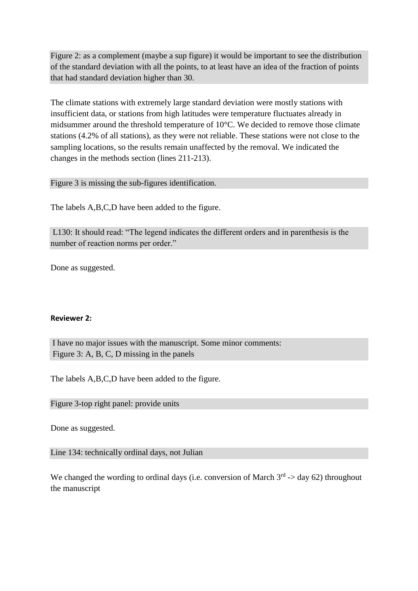Figure 2: as a complement (maybe a sup figure) it would be important to see the distribution of the standard deviation with all the points, to at least have an idea of the fraction of points that had standard deviation higher than 30.

The climate stations with extremely large standard deviation were mostly stations with insufficient data, or stations from high latitudes were temperature fluctuates already in midsummer around the threshold temperature of 10°C. We decided to remove those climate stations (4.2% of all stations), as they were not reliable. These stations were not close to the sampling locations, so the results remain unaffected by the removal. We indicated the changes in the methods section (lines 211-213).

Figure 3 is missing the sub-figures identification.

The labels A,B,C,D have been added to the figure.

L130: It should read: "The legend indicates the different orders and in parenthesis is the number of reaction norms per order."

Done as suggested.

#### **Reviewer 2:**

I have no major issues with the manuscript. Some minor comments: Figure 3: A, B, C, D missing in the panels

The labels A,B,C,D have been added to the figure.

Figure 3-top right panel: provide units

Done as suggested.

Line 134: technically ordinal days, not Julian

We changed the wording to ordinal days (i.e. conversion of March  $3<sup>rd</sup>$  -> day 62) throughout the manuscript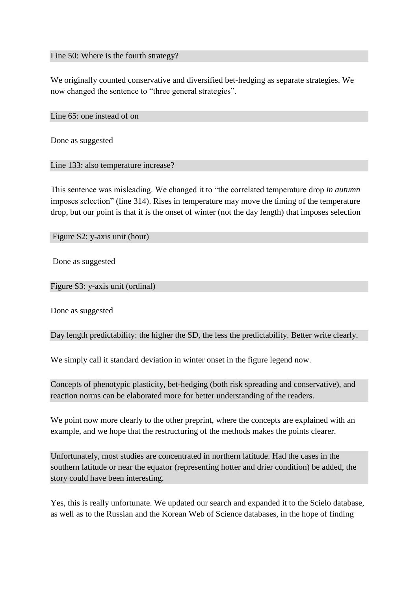Line 50: Where is the fourth strategy?

We originally counted conservative and diversified bet-hedging as separate strategies. We now changed the sentence to "three general strategies".

Line 65: one instead of on

Done as suggested

Line 133: also temperature increase?

This sentence was misleading. We changed it to "the correlated temperature drop *in autumn* imposes selection" (line 314). Rises in temperature may move the timing of the temperature drop, but our point is that it is the onset of winter (not the day length) that imposes selection

Figure S2: y-axis unit (hour)

Done as suggested

Figure S3: y-axis unit (ordinal)

Done as suggested

Day length predictability: the higher the SD, the less the predictability. Better write clearly.

We simply call it standard deviation in winter onset in the figure legend now.

Concepts of phenotypic plasticity, bet-hedging (both risk spreading and conservative), and reaction norms can be elaborated more for better understanding of the readers.

We point now more clearly to the other preprint, where the concepts are explained with an example, and we hope that the restructuring of the methods makes the points clearer.

Unfortunately, most studies are concentrated in northern latitude. Had the cases in the southern latitude or near the equator (representing hotter and drier condition) be added, the story could have been interesting.

Yes, this is really unfortunate. We updated our search and expanded it to the Scielo database, as well as to the Russian and the Korean Web of Science databases, in the hope of finding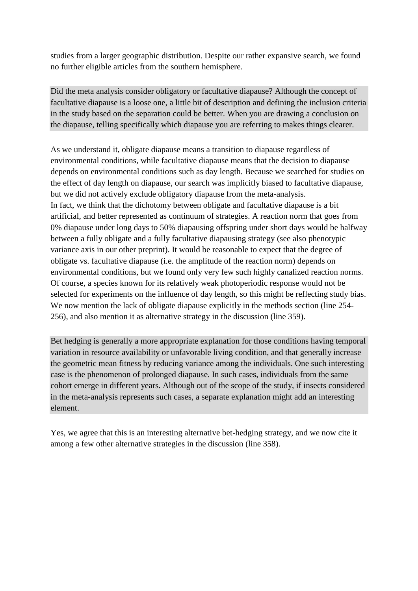studies from a larger geographic distribution. Despite our rather expansive search, we found no further eligible articles from the southern hemisphere.

Did the meta analysis consider obligatory or facultative diapause? Although the concept of facultative diapause is a loose one, a little bit of description and defining the inclusion criteria in the study based on the separation could be better. When you are drawing a conclusion on the diapause, telling specifically which diapause you are referring to makes things clearer.

As we understand it, obligate diapause means a transition to diapause regardless of environmental conditions, while facultative diapause means that the decision to diapause depends on environmental conditions such as day length. Because we searched for studies on the effect of day length on diapause, our search was implicitly biased to facultative diapause, but we did not actively exclude obligatory diapause from the meta-analysis. In fact, we think that the dichotomy between obligate and facultative diapause is a bit artificial, and better represented as continuum of strategies. A reaction norm that goes from 0% diapause under long days to 50% diapausing offspring under short days would be halfway between a fully obligate and a fully facultative diapausing strategy (see also phenotypic variance axis in our other preprint). It would be reasonable to expect that the degree of obligate vs. facultative diapause (i.e. the amplitude of the reaction norm) depends on environmental conditions, but we found only very few such highly canalized reaction norms. Of course, a species known for its relatively weak photoperiodic response would not be selected for experiments on the influence of day length, so this might be reflecting study bias. We now mention the lack of obligate diapause explicitly in the methods section (line 254-256), and also mention it as alternative strategy in the discussion (line 359).

Bet hedging is generally a more appropriate explanation for those conditions having temporal variation in resource availability or unfavorable living condition, and that generally increase the geometric mean fitness by reducing variance among the individuals. One such interesting case is the phenomenon of prolonged diapause. In such cases, individuals from the same cohort emerge in different years. Although out of the scope of the study, if insects considered in the meta-analysis represents such cases, a separate explanation might add an interesting element.

Yes, we agree that this is an interesting alternative bet-hedging strategy, and we now cite it among a few other alternative strategies in the discussion (line 358).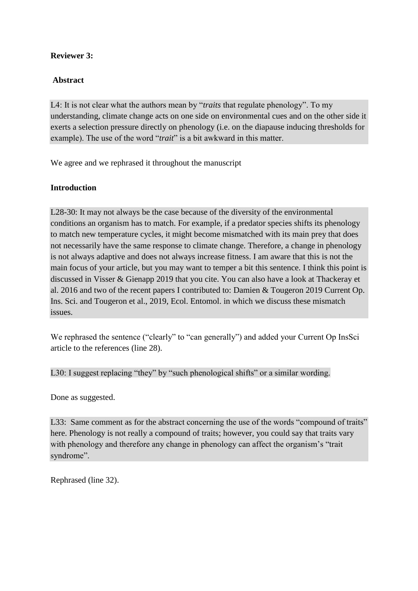# **Reviewer 3:**

# **Abstract**

L4: It is not clear what the authors mean by "*traits* that regulate phenology". To my understanding, climate change acts on one side on environmental cues and on the other side it exerts a selection pressure directly on phenology (i.e. on the diapause inducing thresholds for example). The use of the word "*trait*" is a bit awkward in this matter.

We agree and we rephrased it throughout the manuscript

# **Introduction**

L28-30: It may not always be the case because of the diversity of the environmental conditions an organism has to match. For example, if a predator species shifts its phenology to match new temperature cycles, it might become mismatched with its main prey that does not necessarily have the same response to climate change. Therefore, a change in phenology is not always adaptive and does not always increase fitness. I am aware that this is not the main focus of your article, but you may want to temper a bit this sentence. I think this point is discussed in Visser & Gienapp 2019 that you cite. You can also have a look at Thackeray et al. 2016 and two of the recent papers I contributed to: Damien & Tougeron 2019 Current Op. Ins. Sci. and Tougeron et al., 2019, Ecol. Entomol. in which we discuss these mismatch issues.

We rephrased the sentence ("clearly" to "can generally") and added your Current Op InsSci article to the references (line 28).

L30: I suggest replacing "they" by "such phenological shifts" or a similar wording.

Done as suggested.

L33: Same comment as for the abstract concerning the use of the words "compound of traits" here. Phenology is not really a compound of traits; however, you could say that traits vary with phenology and therefore any change in phenology can affect the organism's "trait syndrome".

Rephrased (line 32).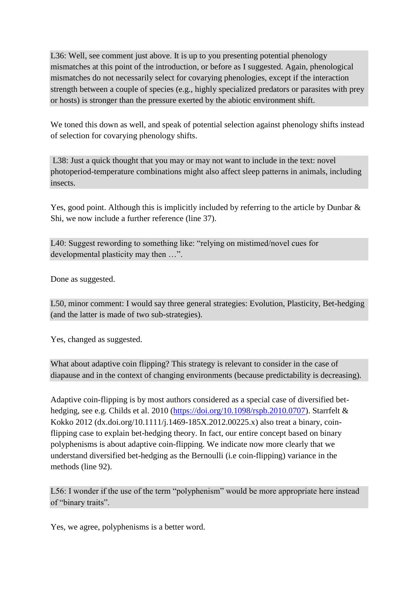L36: Well, see comment just above. It is up to you presenting potential phenology mismatches at this point of the introduction, or before as I suggested. Again, phenological mismatches do not necessarily select for covarying phenologies, except if the interaction strength between a couple of species (e.g., highly specialized predators or parasites with prey or hosts) is stronger than the pressure exerted by the abiotic environment shift.

We toned this down as well, and speak of potential selection against phenology shifts instead of selection for covarying phenology shifts.

L38: Just a quick thought that you may or may not want to include in the text: novel photoperiod-temperature combinations might also affect sleep patterns in animals, including insects.

Yes, good point. Although this is implicitly included by referring to the article by Dunbar & Shi, we now include a further reference (line 37).

L40: Suggest rewording to something like: "relying on mistimed/novel cues for developmental plasticity may then …".

Done as suggested.

L50, minor comment: I would say three general strategies: Evolution, Plasticity, Bet-hedging (and the latter is made of two sub-strategies).

Yes, changed as suggested.

What about adaptive coin flipping? This strategy is relevant to consider in the case of diapause and in the context of changing environments (because predictability is decreasing).

Adaptive coin-flipping is by most authors considered as a special case of diversified bet-hedging, see e.g. Childs et al. 2010 [\(https://doi.org/10.1098/rspb.2010.0707\)](https://doi.org/10.1098/rspb.2010.0707). Starrfelt & Kokko 2012 (dx.doi.org/10.1111/j.1469-185X.2012.00225.x) also treat a binary, coinflipping case to explain bet-hedging theory. In fact, our entire concept based on binary polyphenisms is about adaptive coin-flipping. We indicate now more clearly that we understand diversified bet-hedging as the Bernoulli (i.e coin-flipping) variance in the methods (line 92).

L56: I wonder if the use of the term "polyphenism" would be more appropriate here instead of "binary traits".

Yes, we agree, polyphenisms is a better word.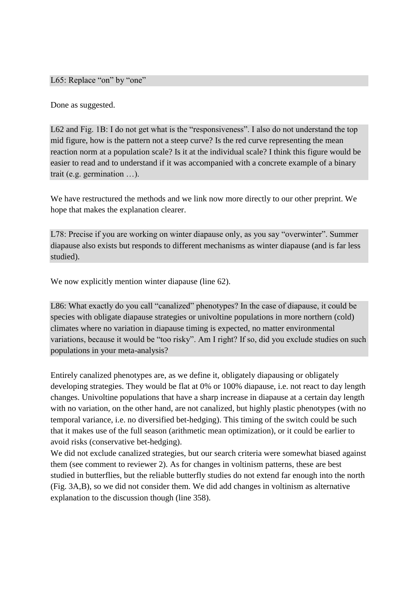L65: Replace "on" by "one"

Done as suggested.

L62 and Fig. 1B: I do not get what is the "responsiveness". I also do not understand the top mid figure, how is the pattern not a steep curve? Is the red curve representing the mean reaction norm at a population scale? Is it at the individual scale? I think this figure would be easier to read and to understand if it was accompanied with a concrete example of a binary trait (e.g. germination …).

We have restructured the methods and we link now more directly to our other preprint. We hope that makes the explanation clearer.

L78: Precise if you are working on winter diapause only, as you say "overwinter". Summer diapause also exists but responds to different mechanisms as winter diapause (and is far less studied).

We now explicitly mention winter diapause (line 62).

L86: What exactly do you call "canalized" phenotypes? In the case of diapause, it could be species with obligate diapause strategies or univoltine populations in more northern (cold) climates where no variation in diapause timing is expected, no matter environmental variations, because it would be "too risky". Am I right? If so, did you exclude studies on such populations in your meta-analysis?

Entirely canalized phenotypes are, as we define it, obligately diapausing or obligately developing strategies. They would be flat at 0% or 100% diapause, i.e. not react to day length changes. Univoltine populations that have a sharp increase in diapause at a certain day length with no variation, on the other hand, are not canalized, but highly plastic phenotypes (with no temporal variance, i.e. no diversified bet-hedging). This timing of the switch could be such that it makes use of the full season (arithmetic mean optimization), or it could be earlier to avoid risks (conservative bet-hedging).

We did not exclude canalized strategies, but our search criteria were somewhat biased against them (see comment to reviewer 2). As for changes in voltinism patterns, these are best studied in butterflies, but the reliable butterfly studies do not extend far enough into the north (Fig. 3A,B), so we did not consider them. We did add changes in voltinism as alternative explanation to the discussion though (line 358).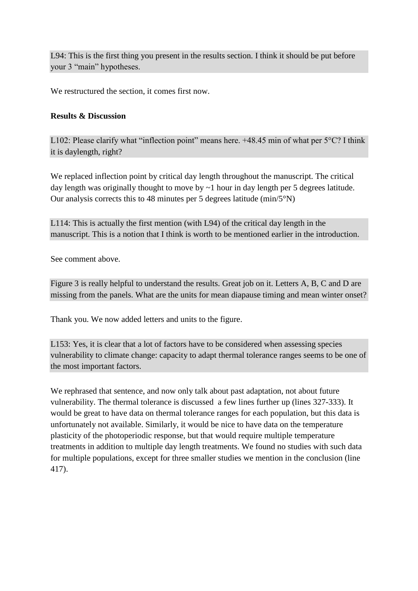L94: This is the first thing you present in the results section. I think it should be put before your 3 "main" hypotheses.

We restructured the section, it comes first now.

## **Results & Discussion**

L102: Please clarify what "inflection point" means here. +48.45 min of what per 5°C? I think it is daylength, right?

We replaced inflection point by critical day length throughout the manuscript. The critical day length was originally thought to move by ~1 hour in day length per 5 degrees latitude. Our analysis corrects this to 48 minutes per 5 degrees latitude (min/5°N)

L114: This is actually the first mention (with L94) of the critical day length in the manuscript. This is a notion that I think is worth to be mentioned earlier in the introduction.

See comment above.

Figure 3 is really helpful to understand the results. Great job on it. Letters A, B, C and D are missing from the panels. What are the units for mean diapause timing and mean winter onset?

Thank you. We now added letters and units to the figure.

L153: Yes, it is clear that a lot of factors have to be considered when assessing species vulnerability to climate change: capacity to adapt thermal tolerance ranges seems to be one of the most important factors.

We rephrased that sentence, and now only talk about past adaptation, not about future vulnerability. The thermal tolerance is discussed a few lines further up (lines 327-333). It would be great to have data on thermal tolerance ranges for each population, but this data is unfortunately not available. Similarly, it would be nice to have data on the temperature plasticity of the photoperiodic response, but that would require multiple temperature treatments in addition to multiple day length treatments. We found no studies with such data for multiple populations, except for three smaller studies we mention in the conclusion (line 417).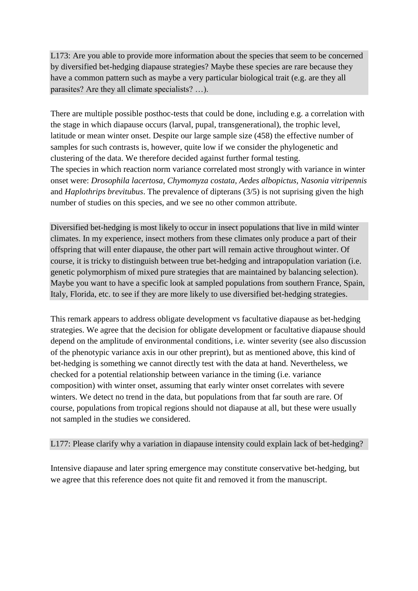L173: Are you able to provide more information about the species that seem to be concerned by diversified bet-hedging diapause strategies? Maybe these species are rare because they have a common pattern such as maybe a very particular biological trait (e.g. are they all parasites? Are they all climate specialists? …).

There are multiple possible posthoc-tests that could be done, including e.g. a correlation with the stage in which diapause occurs (larval, pupal, transgenerational), the trophic level, latitude or mean winter onset. Despite our large sample size (458) the effective number of samples for such contrasts is, however, quite low if we consider the phylogenetic and clustering of the data. We therefore decided against further formal testing. The species in which reaction norm variance correlated most strongly with variance in winter onset were: *Drosophila lacertosa, Chymomyza costata, Aedes albopictus, Nasonia vitripennis*  and *Haplothrips brevitubus*. The prevalence of dipterans (3/5) is not suprising given the high number of studies on this species, and we see no other common attribute.

Diversified bet-hedging is most likely to occur in insect populations that live in mild winter climates. In my experience, insect mothers from these climates only produce a part of their offspring that will enter diapause, the other part will remain active throughout winter. Of course, it is tricky to distinguish between true bet-hedging and intrapopulation variation (i.e. genetic polymorphism of mixed pure strategies that are maintained by balancing selection). Maybe you want to have a specific look at sampled populations from southern France, Spain, Italy, Florida, etc. to see if they are more likely to use diversified bet-hedging strategies.

This remark appears to address obligate development vs facultative diapause as bet-hedging strategies. We agree that the decision for obligate development or facultative diapause should depend on the amplitude of environmental conditions, i.e. winter severity (see also discussion of the phenotypic variance axis in our other preprint), but as mentioned above, this kind of bet-hedging is something we cannot directly test with the data at hand. Nevertheless, we checked for a potential relationship between variance in the timing (i.e. variance composition) with winter onset, assuming that early winter onset correlates with severe winters. We detect no trend in the data, but populations from that far south are rare. Of course, populations from tropical regions should not diapause at all, but these were usually not sampled in the studies we considered.

## L177: Please clarify why a variation in diapause intensity could explain lack of bet-hedging?

Intensive diapause and later spring emergence may constitute conservative bet-hedging, but we agree that this reference does not quite fit and removed it from the manuscript.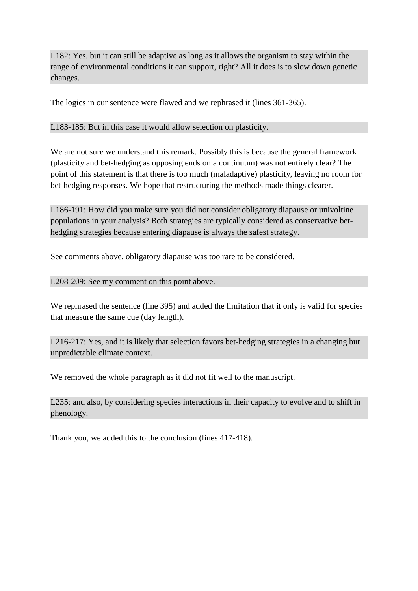L182: Yes, but it can still be adaptive as long as it allows the organism to stay within the range of environmental conditions it can support, right? All it does is to slow down genetic changes.

The logics in our sentence were flawed and we rephrased it (lines 361-365).

## L183-185: But in this case it would allow selection on plasticity.

We are not sure we understand this remark. Possibly this is because the general framework (plasticity and bet-hedging as opposing ends on a continuum) was not entirely clear? The point of this statement is that there is too much (maladaptive) plasticity, leaving no room for bet-hedging responses. We hope that restructuring the methods made things clearer.

L186-191: How did you make sure you did not consider obligatory diapause or univoltine populations in your analysis? Both strategies are typically considered as conservative bethedging strategies because entering diapause is always the safest strategy.

See comments above, obligatory diapause was too rare to be considered.

#### L208-209: See my comment on this point above.

We rephrased the sentence (line 395) and added the limitation that it only is valid for species that measure the same cue (day length).

L216-217: Yes, and it is likely that selection favors bet-hedging strategies in a changing but unpredictable climate context.

We removed the whole paragraph as it did not fit well to the manuscript.

L235: and also, by considering species interactions in their capacity to evolve and to shift in phenology.

Thank you, we added this to the conclusion (lines 417-418).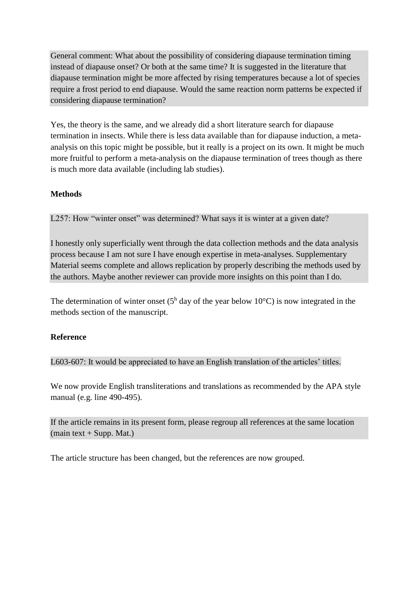General comment: What about the possibility of considering diapause termination timing instead of diapause onset? Or both at the same time? It is suggested in the literature that diapause termination might be more affected by rising temperatures because a lot of species require a frost period to end diapause. Would the same reaction norm patterns be expected if considering diapause termination?

Yes, the theory is the same, and we already did a short literature search for diapause termination in insects. While there is less data available than for diapause induction, a metaanalysis on this topic might be possible, but it really is a project on its own. It might be much more fruitful to perform a meta-analysis on the diapause termination of trees though as there is much more data available (including lab studies).

# **Methods**

L257: How "winter onset" was determined? What says it is winter at a given date?

I honestly only superficially went through the data collection methods and the data analysis process because I am not sure I have enough expertise in meta-analyses. Supplementary Material seems complete and allows replication by properly describing the methods used by the authors. Maybe another reviewer can provide more insights on this point than I do.

The determination of winter onset ( $5^{\text{h}}$  day of the year below 10°C) is now integrated in the methods section of the manuscript.

## **Reference**

L603-607: It would be appreciated to have an English translation of the articles' titles.

We now provide English transliterations and translations as recommended by the APA style manual (e.g. line 490-495).

If the article remains in its present form, please regroup all references at the same location  $(main text + Supp. Mat.)$ 

The article structure has been changed, but the references are now grouped.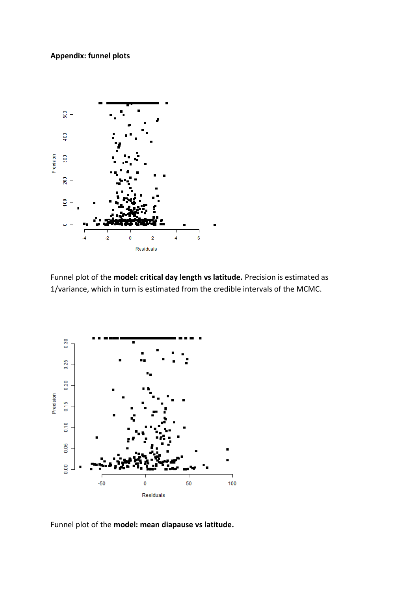# **Appendix: funnel plots**



Funnel plot of the **model: critical day length vs latitude.** Precision is estimated as 1/variance, which in turn is estimated from the credible intervals of the MCMC.



Funnel plot of the **model: mean diapause vs latitude.**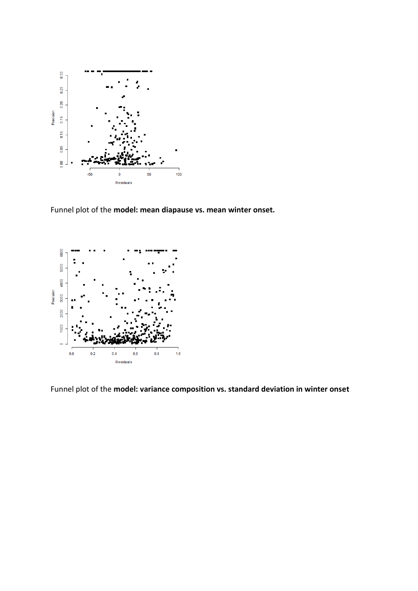

Funnel plot of the **model: mean diapause vs. mean winter onset.** 



Funnel plot of the **model: variance composition vs. standard deviation in winter onset**